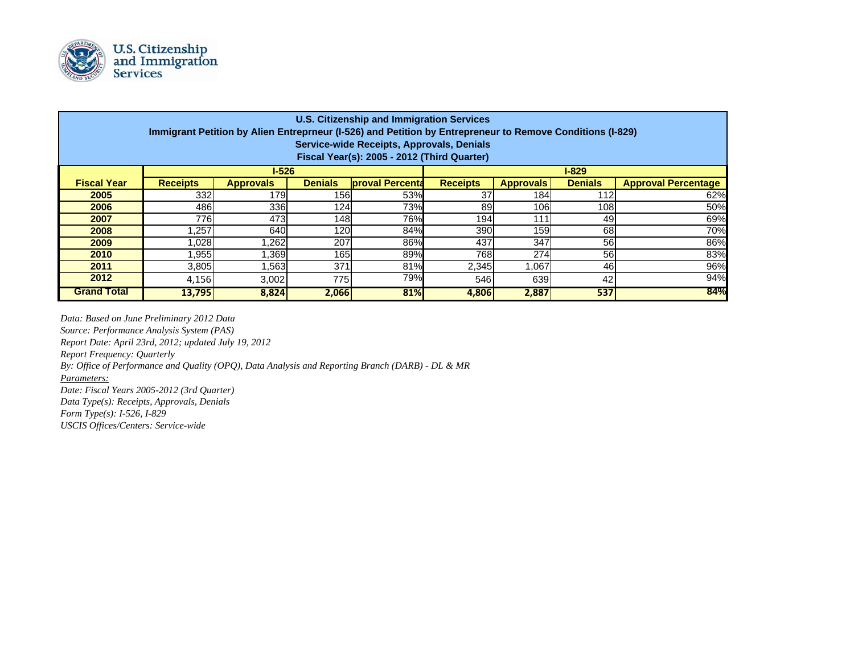

| <b>U.S. Citizenship and Immigration Services</b><br>Immigrant Petition by Alien Entreprneur (I-526) and Petition by Entrepreneur to Remove Conditions (I-829)<br>Service-wide Receipts, Approvals, Denials<br>Fiscal Year(s): 2005 - 2012 (Third Quarter) |                 |                  |                |                         |                 |                  |                |                            |
|-----------------------------------------------------------------------------------------------------------------------------------------------------------------------------------------------------------------------------------------------------------|-----------------|------------------|----------------|-------------------------|-----------------|------------------|----------------|----------------------------|
|                                                                                                                                                                                                                                                           | $1 - 526$       |                  |                | $I-829$                 |                 |                  |                |                            |
| <b>Fiscal Year</b>                                                                                                                                                                                                                                        | <b>Receipts</b> | <b>Approvals</b> | <b>Denials</b> | <b>Iproval Percenta</b> | <b>Receipts</b> | <b>Approvals</b> | <b>Denials</b> | <b>Approval Percentage</b> |
| 2005                                                                                                                                                                                                                                                      | 332             | <b>179</b>       | 156            | 53%                     | 37              | 184l             | 112            | 62%                        |
| 2006                                                                                                                                                                                                                                                      | 486             | 336              | 124            | 73%                     | 89              | 106              | 108l           | 50%                        |
| 2007                                                                                                                                                                                                                                                      | 776             | 473              | 148            | 76%                     | <b>194</b>      | 111              | 49             | 69%                        |
| 2008                                                                                                                                                                                                                                                      | ,257            | 640              | 120            | 84%                     | 390             | 159              | 68             | 70%                        |
| 2009                                                                                                                                                                                                                                                      | 0.028           | .262             | 207            | 86%                     | 437             | 347              | 56             | 86%                        |
| 2010                                                                                                                                                                                                                                                      | .955            | .369             | 165I           | 89%                     | 768             | 274              | 56             | 83%                        |
| 2011                                                                                                                                                                                                                                                      | 3,805           | .563             | 371            | 81%                     | 2,345           | 1,067            | 46             | 96%                        |
| 2012                                                                                                                                                                                                                                                      | 4,156           | 3,002            | 775            | 79%                     | 546             | 639              | 42             | 94%                        |
| <b>Grand Total</b>                                                                                                                                                                                                                                        | 13,795          | 8,824            | 2,066          | 81%                     | 4,806           | 2,887            | 537            | 84%                        |

*Data: Based on June Preliminary 2012 Data*

*Source: Performance Analysis System (PAS)*

*Report Date: April 23rd, 2012; updated July 19, 2012*

*Report Frequency: Quarterly*

*By: Office of Performance and Quality (OPQ), Data Analysis and Reporting Branch (DARB) - DL & MR*

*Parameters:*

*Date: Fiscal Years 2005-2012 (3rd Quarter) Data Type(s): Receipts, Approvals, Denials Form Type(s): I-526, I-829*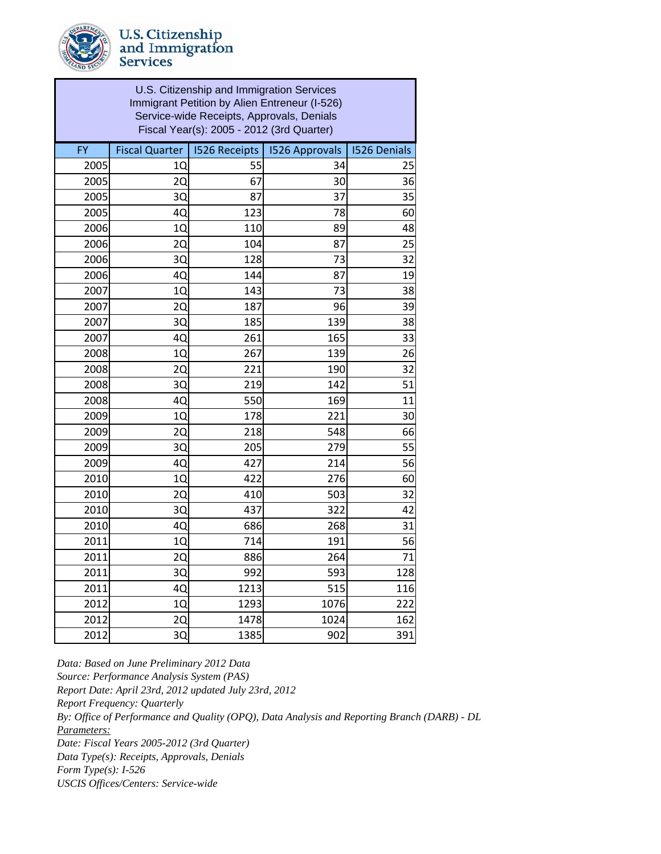

*Data: Based on June Preliminary 2012 Data Source: Performance Analysis System (PAS) Report Date: April 23rd, 2012 updated July 23rd, 2012 Report Frequency: Quarterly By: Office of Performance and Quality (OPQ), Data Analysis and Reporting Branch (DARB) - DL Parameters: Date: Fiscal Years 2005-2012 (3rd Quarter) Data Type(s): Receipts, Approvals, Denials Form Type(s): I-526 USCIS Offices/Centers: Service-wide*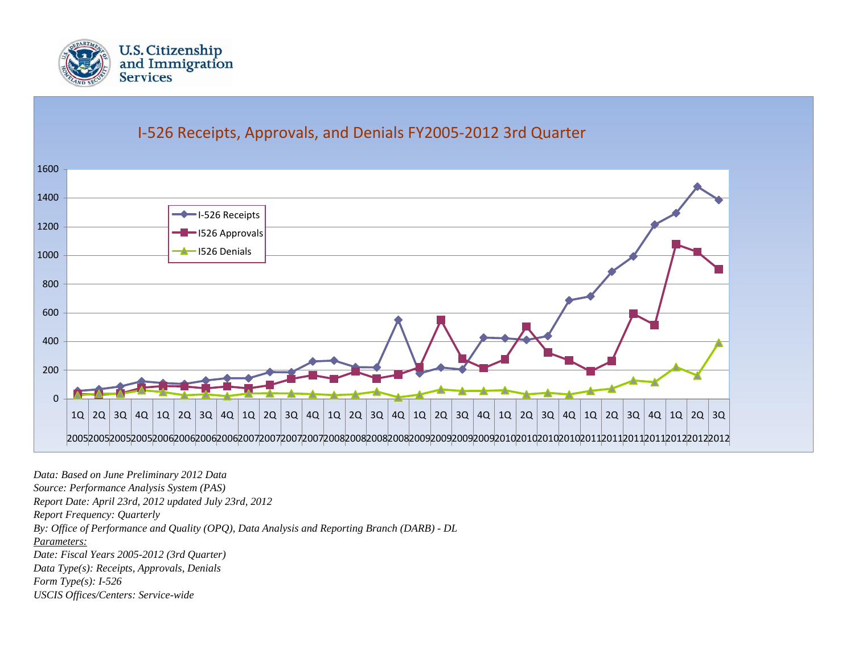

## I‐526 Receipts, Approvals, and Denials FY2005‐2012 3rd Quarter



*Data: Based on June Preliminary 2012 Data Source: Performance Analysis System (PAS) Report Date: April 23rd, 2012 updated July 23rd, 2012 Report Frequency: Quarterly By: Office of Performance and Quality (OPQ), Data Analysis and Reporting Branch (DARB) - DL Parameters:Date: Fiscal Years 2005-2012 (3rd Quarter) Data Type(s): Receipts, Approvals, Denials Form Type(s): I-526 USCIS Offices/Centers: Service-wide*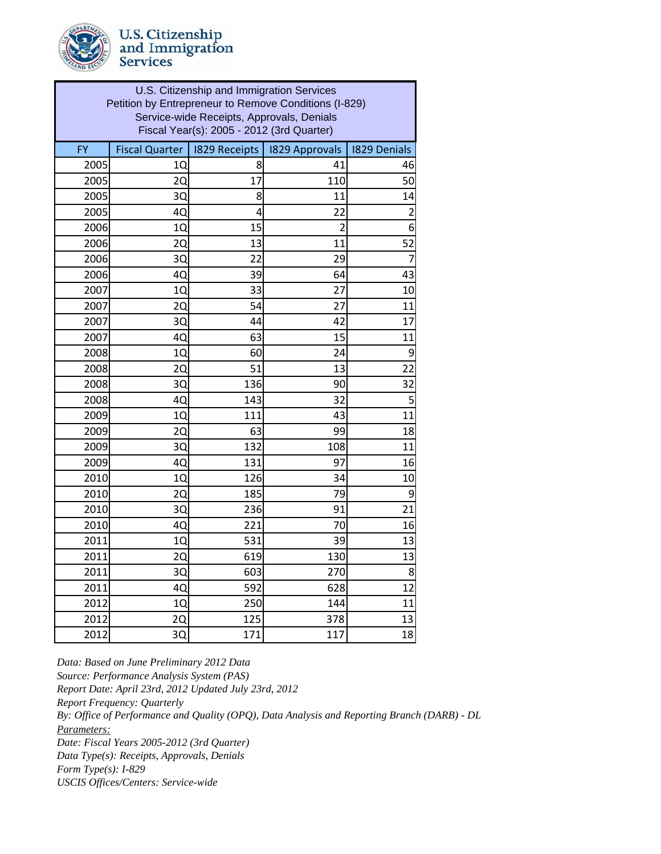| U.S. Citizenship and Immigration Services<br>Petition by Entrepreneur to Remove Conditions (I-829)<br>Service-wide Receipts, Approvals, Denials<br>Fiscal Year(s): 2005 - 2012 (3rd Quarter) |                       |                      |                       |                     |  |
|----------------------------------------------------------------------------------------------------------------------------------------------------------------------------------------------|-----------------------|----------------------|-----------------------|---------------------|--|
| <b>FY</b>                                                                                                                                                                                    | <b>Fiscal Quarter</b> | <b>I829 Receipts</b> | <b>1829 Approvals</b> | <b>1829 Denials</b> |  |
| 2005                                                                                                                                                                                         | 1Q                    | 8                    | 41                    | 46                  |  |
| 2005                                                                                                                                                                                         | 2Q                    | 17                   | 110                   | 50                  |  |
| 2005                                                                                                                                                                                         | 3Q                    | 8                    | 11                    | 14                  |  |
| 2005                                                                                                                                                                                         | 4Q                    | 4                    | 22                    | $\overline{c}$      |  |
| 2006                                                                                                                                                                                         | 10                    | 15                   | 2                     | 6                   |  |
| 2006                                                                                                                                                                                         | 2Q                    | 13                   | 11                    | 52                  |  |
| 2006                                                                                                                                                                                         | 3Q                    | 22                   | 29                    | 7                   |  |
| 2006                                                                                                                                                                                         | 4Q                    | 39                   | 64                    | 43                  |  |
| 2007                                                                                                                                                                                         | 1Q                    | 33                   | 27                    | 10                  |  |
| 2007                                                                                                                                                                                         | 2Q                    | 54                   | 27                    | 11                  |  |
| 2007                                                                                                                                                                                         | 3Q                    | 44                   | 42                    | 17                  |  |
| 2007                                                                                                                                                                                         | 40                    | 63                   | 15                    | 11                  |  |
| 2008                                                                                                                                                                                         | 1Q                    | 60                   | 24                    | 9                   |  |
| 2008                                                                                                                                                                                         | 20                    | 51                   | 13                    | 22                  |  |
| 2008                                                                                                                                                                                         | 3Q                    | 136                  | 90                    | 32                  |  |
| 2008                                                                                                                                                                                         | 4Q                    | 143                  | 32                    | 5                   |  |
| 2009                                                                                                                                                                                         | 1Q                    | 111                  | 43                    | 11                  |  |
| 2009                                                                                                                                                                                         | 2Q                    | 63                   | 99                    | 18                  |  |
| 2009                                                                                                                                                                                         | 3Q                    | 132                  | 108                   | 11                  |  |
| 2009                                                                                                                                                                                         | 4Q                    | 131                  | 97                    | 16                  |  |
| 2010                                                                                                                                                                                         | 10                    | 126                  | 34                    | 10                  |  |
| 2010                                                                                                                                                                                         | 2Q                    | 185                  | 79                    | 9                   |  |
| 2010                                                                                                                                                                                         | 3Q                    | 236                  | 91                    | 21                  |  |
| 2010                                                                                                                                                                                         | 4Q                    | 221                  | 70                    | 16                  |  |
| 2011                                                                                                                                                                                         | 1Q                    | 531                  | 39                    | 13                  |  |
| 2011                                                                                                                                                                                         | 2Q                    | 619                  | 130                   | 13                  |  |
| 2011                                                                                                                                                                                         | 3Q                    | 603                  | 270                   | 8                   |  |
| 2011                                                                                                                                                                                         | 4Q                    | 592                  | 628                   | 12                  |  |
| 2012                                                                                                                                                                                         | 1Q                    | 250                  | 144                   | 11                  |  |
| 2012                                                                                                                                                                                         | 2Q                    | 125                  | 378                   | 13                  |  |
| 2012                                                                                                                                                                                         | 3Q                    | 171                  | 117                   | 18                  |  |
|                                                                                                                                                                                              |                       |                      |                       |                     |  |

*Data: Based on June Preliminary 2012 Data Source: Performance Analysis System (PAS) Report Date: April 23rd, 2012 Updated July 23rd, 2012 Report Frequency: Quarterly Parameters: Date: Fiscal Years 2005-2012 (3rd Quarter) Data Type(s): Receipts, Approvals, Denials Form Type(s): I-829 USCIS Offices/Centers: Service-wide By: Office of Performance and Quality (OPQ), Data Analysis and Reporting Branch (DARB) - DL*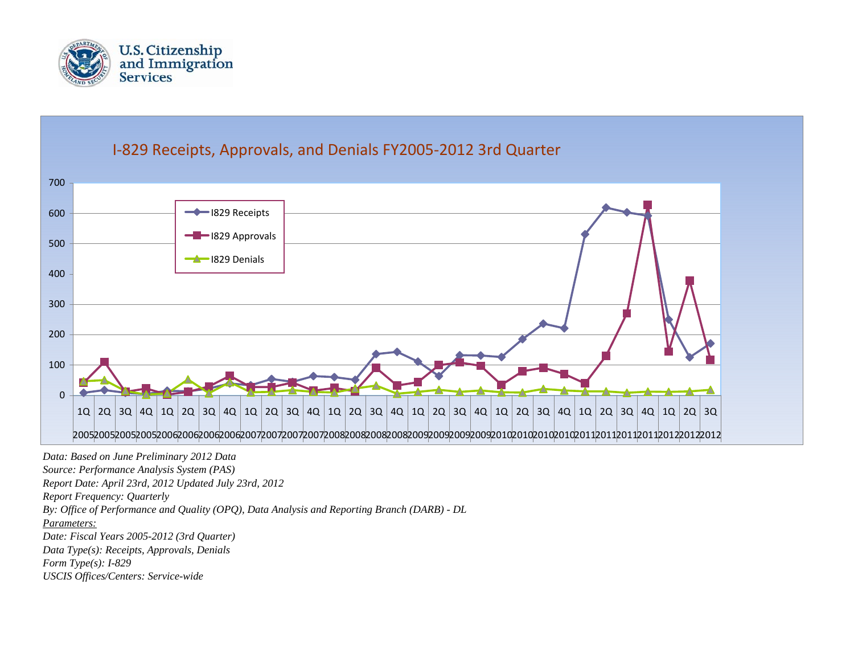



*Report Date: April 23rd, 2012 Updated July 23rd, 2012*

*Report Frequency: Quarterly*

*By: Office of Performance and Quality (OPQ), Data Analysis and Reporting Branch (DARB) - DL*

*Parameters:*

*Date: Fiscal Years 2005-2012 (3rd Quarter)*

*Data Type(s): Receipts, Approvals, Denials*

*Form Type(s): I-829*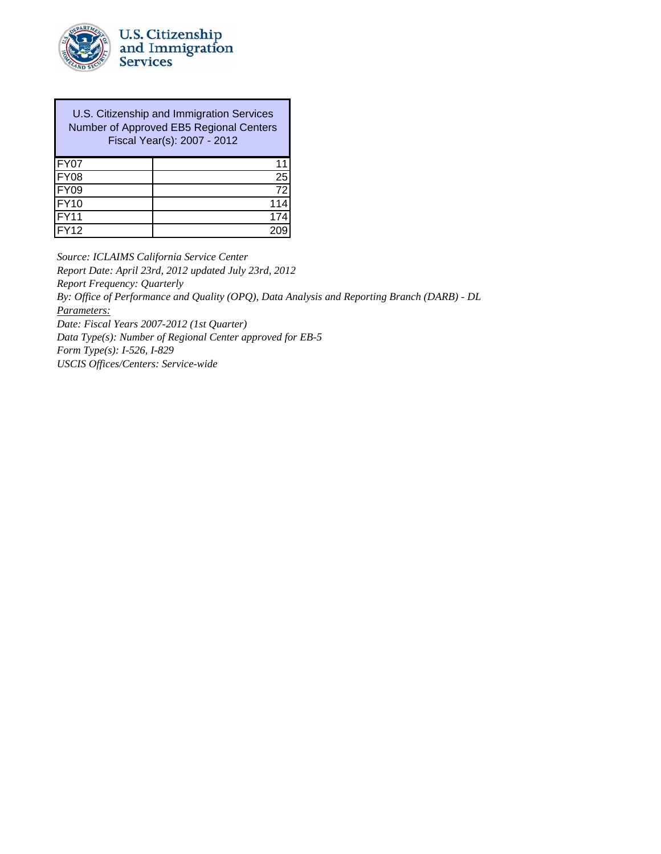

U.S. Citizenship and Immigration Services Number of Approved EB5 Regional Centers Fiscal Year(s): 2007 - 2012

| FY07               |     |
|--------------------|-----|
| FY08               | 25  |
| <b>FY09</b>        | 72  |
| <b>FY10</b>        | 114 |
| FY <sub>11</sub>   | 174 |
| $\overline{FY}$ 12 | 209 |

*Source: ICLAIMS California Service Center*

*Report Date: April 23rd, 2012 updated July 23rd, 2012*

*Report Frequency: Quarterly*

*By: Office of Performance and Quality (OPQ), Data Analysis and Reporting Branch (DARB) - DL*

*Parameters:*

*Date: Fiscal Years 2007-2012 (1st Quarter)*

*Data Type(s): Number of Regional Center approved for EB-5*

*Form Type(s): I-526, I-829*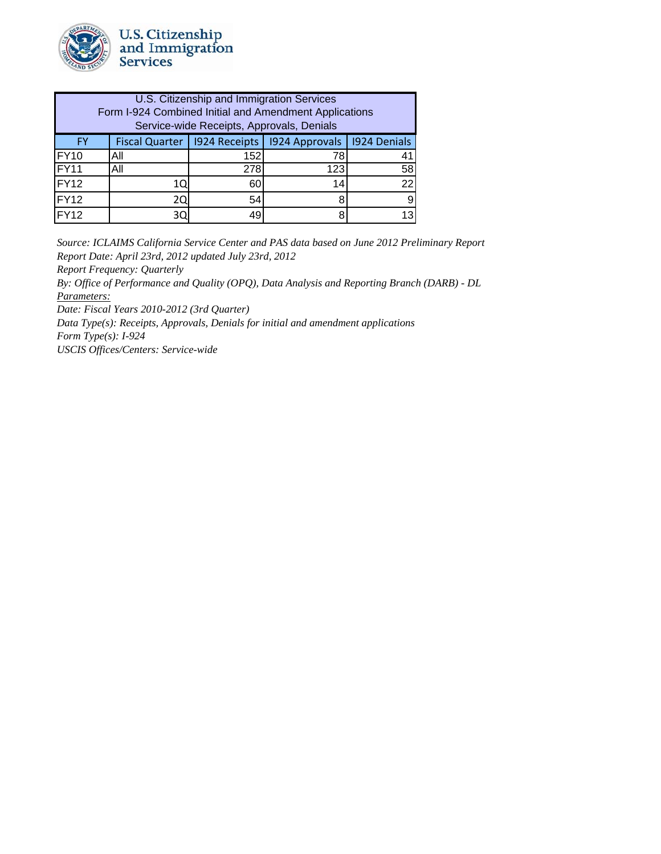

| U.S. Citizenship and Immigration Services<br>Form I-924 Combined Initial and Amendment Applications<br>Service-wide Receipts, Approvals, Denials |     |      |                                                                |    |  |  |
|--------------------------------------------------------------------------------------------------------------------------------------------------|-----|------|----------------------------------------------------------------|----|--|--|
| <b>FY</b>                                                                                                                                        |     |      | Fiscal Quarter   1924 Receipts   1924 Approvals   1924 Denials |    |  |  |
| FY <sub>10</sub>                                                                                                                                 | All | 152l | 78                                                             |    |  |  |
| FY11                                                                                                                                             | All | 278  | 123                                                            | 58 |  |  |
| FY <sub>12</sub>                                                                                                                                 | 10  | 60   | 14                                                             | 22 |  |  |
| FY <sub>12</sub>                                                                                                                                 | 20  | 54   |                                                                |    |  |  |
| FY <sub>12</sub>                                                                                                                                 | 3C  | 19   |                                                                |    |  |  |

*Source: ICLAIMS California Service Center and PAS data based on June 2012 Preliminary Report Report Date: April 23rd, 2012 updated July 23rd, 2012*

*Report Frequency: Quarterly*

*By: Office of Performance and Quality (OPQ), Data Analysis and Reporting Branch (DARB) - DL Parameters:*

*Date: Fiscal Years 2010-2012 (3rd Quarter)*

*Data Type(s): Receipts, Approvals, Denials for initial and amendment applications Form Type(s): I-924*